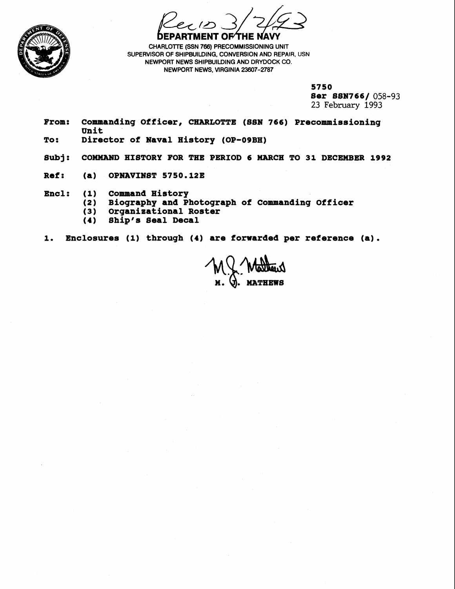

**DEPARTMENT OF THE NAVY** 

**CHARLOTTE (SSN 766) PRECOMMISSIONING UNIT** SUPERVISOR OF SHIPBUILDING, CONVERSION AND REPAIR, USN **NEWPORT NEWS SHIPBUILDING AND DRYDOCK CO. NEWPORT NEWS, VIRGINIA 23607-2787** 

**5750** 

**8er 8SN7 66/ 058-93 23 February 1993** 

- **From: Commanding Officer, CHARLOTTE (88N 766) Precommissioning Unit**
- **To: Director of Naval History (OP-09BH)**
- **8ubj: COMMAND HISTORY FOR THE PERIOD 6 MARCH TO 31 DECEMBER 1992**
- **Ref: (a) OPNAVINBT 5750.12E**
- **Encl: (1) Command History** 
	- **(2) Biography and Photograph of Commanding Officer**
	- **(3) Organisational Roster**
	- **(4) Ship's 8eal Decal**

## **1. Enclosures (1) through (4) are forwarded per reference (a).**

**MATHEWS**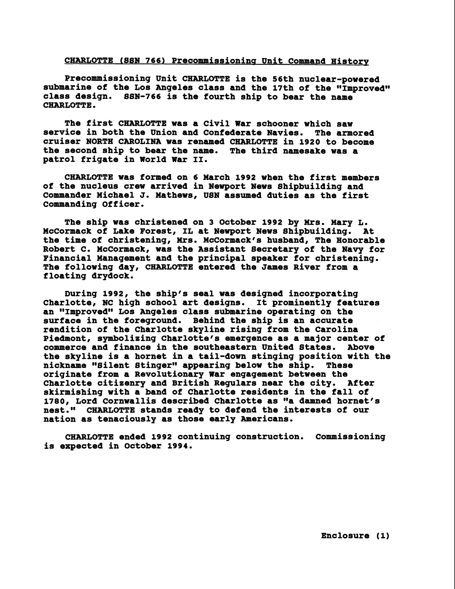## CHARLOTTE (SSN 766) Precommissioning Unit Command History

**Precommissioning Unit CHARLOTTE is the 56th nuclear-powered**  submarine of the Los Angeles class and the 17th of the "Improved" **class design. SSN-766 is the fourth ship to bear the name CHARLOTTE.** 

**The first CHARLOTTE was a Civil War schooner which saw service in both the Union and Confederate Navies. The armored cruiser NORTH CAROLINA was renamed CHARLOTTE in 1920 to become the second ship to bear the name. The third namesake was a patrol frigate in World War 11.** 

**CHARLOTTE was formed on 6 March 1992 when the first members of the nucleus crew arrived in Newport News Shipbuilding and Commander Michael J. Mathews, USN assumed duties as the first Commanding Officer.** 

**The ship was christened on 3 October 1992 by Mrs. Mary L. McCormack of Lake Forest, IL at Newport News Shipbuilding. At the time of christening, Mrs. McCormck's husband, The Honorable Robert C. McCormack, was the Assistant Secretary of the Navy for Financial Management and the principal speaker for christening. The following day, CHARLOTTE entered the James River from a floating drydock.** 

**During 1992, the ship's seal was designed incorporating Charlotte, NC high school art designs. It prominently features**  an "Improved" Los Angeles class submarine operating on the **surface in the foreground. Behind the ship is an accurate rendition of the Charlotte skyline rising from the Carolina Piedmont, symbolizing Charlotte's emergence as a major center of commerce and finance in the southeastern United States. Above the skyline is a hornet in a tail-down stinging position with the nickname "Silent Stingernn appearing below the ship. These originate from a Revolutionary War engagement between the Charlotte citizenry and British Regulars near the city. After skirmishing with a band of Charlotte residents in the fall of 1780, Lord Cornwallis described Charlotte as "a damned hornet's nest." CHARLOTTE stands ready to defend the interests of our nation as tenaciously as those early Americans.** 

**CHARLOTTE ended 1992 continuing construction. Commissioning is expected in October 1994.**